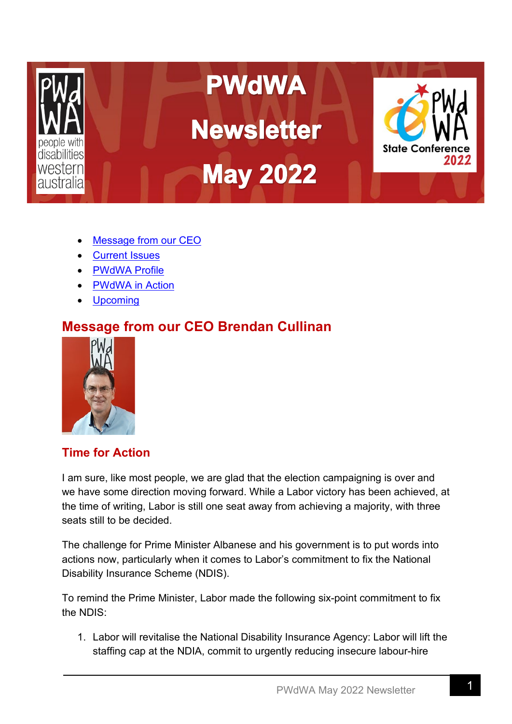

- [Message from](#page-0-0) our CEO
- [Current Issues](#page-2-0)
- [PWdWA Profile](#page-3-0)
- [PWdWA in Action](#page-4-0)
- **Upcoming**

# **Message from our CEO Brendan Cullinan**

<span id="page-0-0"></span>

## **Time for Action**

I am sure, like most people, we are glad that the election campaigning is over and we have some direction moving forward. While a Labor victory has been achieved, at the time of writing, Labor is still one seat away from achieving a majority, with three seats still to be decided.

The challenge for Prime Minister Albanese and his government is to put words into actions now, particularly when it comes to Labor's commitment to fix the National Disability Insurance Scheme (NDIS).

To remind the Prime Minister, Labor made the following six-point commitment to fix the NDIS:

1. Labor will revitalise the National Disability Insurance Agency: Labor will lift the staffing cap at the NDIA, commit to urgently reducing insecure labour-hire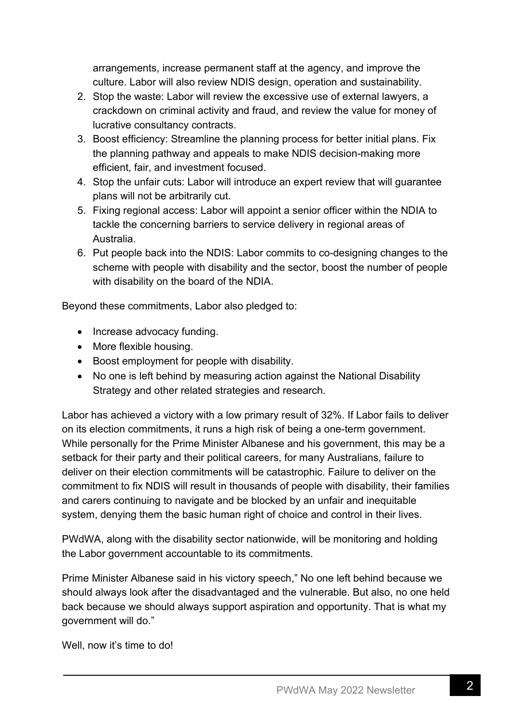arrangements, increase permanent staff at the agency, and improve the culture. Labor will also review NDIS design, operation and sustainability.

- 2. Stop the waste: Labor will review the excessive use of external lawyers, a crackdown on criminal activity and fraud, and review the value for money of lucrative consultancy contracts.
- 3. Boost efficiency: Streamline the planning process for better initial plans. Fix the planning pathway and appeals to make NDIS decision-making more efficient, fair, and investment focused.
- 4. Stop the unfair cuts: Labor will introduce an expert review that will guarantee plans will not be arbitrarily cut.
- 5. Fixing regional access: Labor will appoint a senior officer within the NDIA to tackle the concerning barriers to service delivery in regional areas of Australia.
- 6. Put people back into the NDIS: Labor commits to co-designing changes to the scheme with people with disability and the sector, boost the number of people with disability on the board of the NDIA.

Beyond these commitments, Labor also pledged to:

- Increase advocacy funding.
- More flexible housing.
- Boost employment for people with disability.
- No one is left behind by measuring action against the National Disability Strategy and other related strategies and research.

Labor has achieved a victory with a low primary result of 32%. If Labor fails to deliver on its election commitments, it runs a high risk of being a one-term government. While personally for the Prime Minister Albanese and his government, this may be a setback for their party and their political careers, for many Australians, failure to deliver on their election commitments will be catastrophic. Failure to deliver on the commitment to fix NDIS will result in thousands of people with disability, their families and carers continuing to navigate and be blocked by an unfair and inequitable system, denying them the basic human right of choice and control in their lives.

PWdWA, along with the disability sector nationwide, will be monitoring and holding the Labor government accountable to its commitments.

Prime Minister Albanese said in his victory speech," No one left behind because we should always look after the disadvantaged and the vulnerable. But also, no one held back because we should always support aspiration and opportunity. That is what my government will do."

Well, now it's time to do!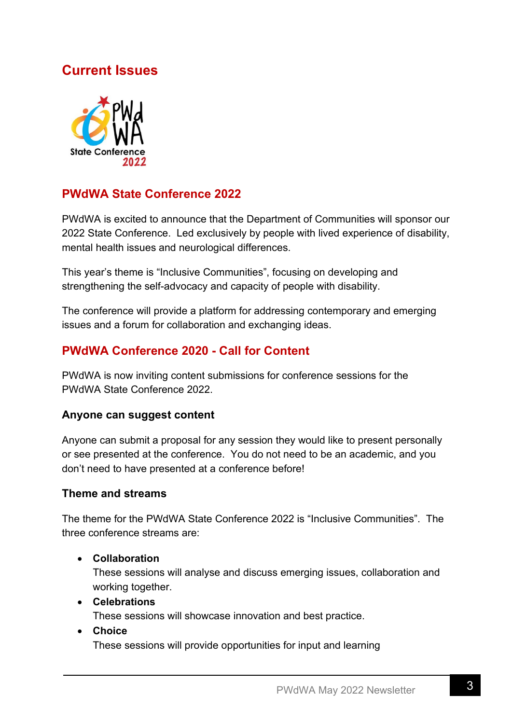## <span id="page-2-0"></span>**Current Issues**



### **PWdWA State Conference 2022**

PWdWA is excited to announce that the Department of Communities will sponsor our 2022 State Conference. Led exclusively by people with lived experience of disability, mental health issues and neurological differences.

This year's theme is "Inclusive Communities", focusing on developing and strengthening the self-advocacy and capacity of people with disability.

The conference will provide a platform for addressing contemporary and emerging issues and a forum for collaboration and exchanging ideas.

## **PWdWA Conference 2020 - Call for Content**

PWdWA is now inviting content submissions for conference sessions for the PWdWA State Conference 2022.

#### **Anyone can suggest content**

Anyone can submit a proposal for any session they would like to present personally or see presented at the conference. You do not need to be an academic, and you don't need to have presented at a conference before!

#### **Theme and streams**

The theme for the PWdWA State Conference 2022 is "Inclusive Communities". The three conference streams are:

#### • **Collaboration**

These sessions will analyse and discuss emerging issues, collaboration and working together.

- **Celebrations**  These sessions will showcase innovation and best practice.
	-
- **Choice**

These sessions will provide opportunities for input and learning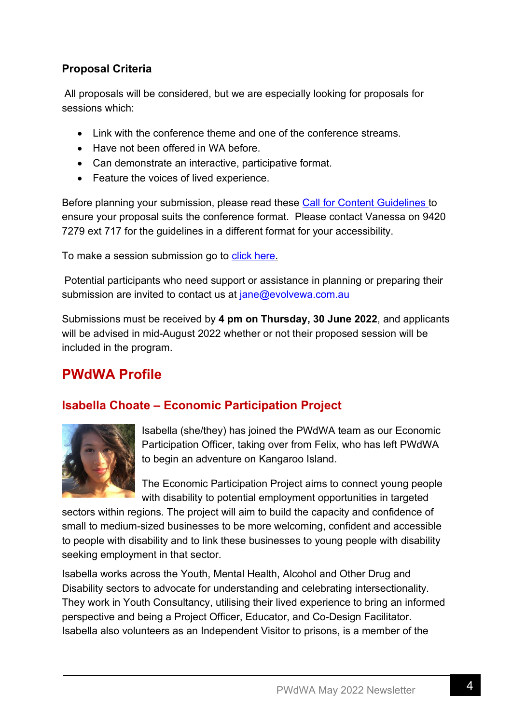### **Proposal Criteria**

All proposals will be considered, but we are especially looking for proposals for sessions which:

- Link with the conference theme and one of the conference streams.
- Have not been offered in WA before.
- Can demonstrate an interactive, participative format.
- Feature the voices of lived experience.

Before planning your submission, please read these Call for Content [Guidelines](https://www.pwdwaconference2022.org.au/_files/ugd/11ed03_2340731b28644e45944addc608421e3b.pdf) to ensure your proposal suits the conference format. Please contact Vanessa on 9420 7279 ext 717 for the guidelines in a different format for your accessibility.

To make a session submission go to click [here.](https://www.surveymonkey.com/r/T56RFH3)

Potential participants who need support or assistance in planning or preparing their submission are invited to contact us at [jane@evolvewa.com.au](mailto:jane@evolvewa.com.au)

Submissions must be received by **4 pm on Thursday, 30 June 2022**, and applicants will be advised in mid-August 2022 whether or not their proposed session will be included in the program.

# <span id="page-3-0"></span>**PWdWA Profile**

### **Isabella Choate – Economic Participation Project**



Isabella (she/they) has joined the PWdWA team as our Economic Participation Officer, taking over from Felix, who has left PWdWA to begin an adventure on Kangaroo Island.

The Economic Participation Project aims to connect young people with disability to potential employment opportunities in targeted

sectors within regions. The project will aim to build the capacity and confidence of small to medium-sized businesses to be more welcoming, confident and accessible to people with disability and to link these businesses to young people with disability seeking employment in that sector.

Isabella works across the Youth, Mental Health, Alcohol and Other Drug and Disability sectors to advocate for understanding and celebrating intersectionality. They work in Youth Consultancy, utilising their lived experience to bring an informed perspective and being a Project Officer, Educator, and Co-Design Facilitator. Isabella also volunteers as an Independent Visitor to prisons, is a member of the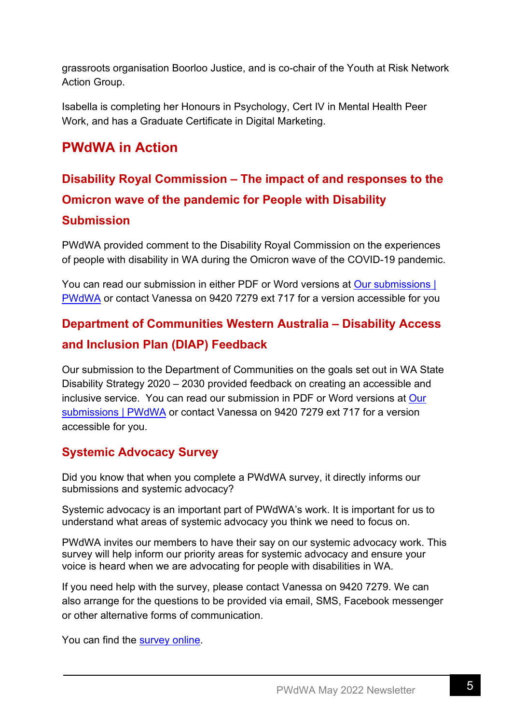grassroots organisation Boorloo Justice, and is co-chair of the Youth at Risk Network Action Group.

Isabella is completing her Honours in Psychology, Cert IV in Mental Health Peer Work, and has a Graduate Certificate in Digital Marketing.

## <span id="page-4-0"></span>**PWdWA in Action**

# **Disability Royal Commission – The impact of and responses to the Omicron wave of the pandemic for People with Disability Submission**

PWdWA provided comment to the Disability Royal Commission on the experiences of people with disability in WA during the Omicron wave of the COVID-19 pandemic.

You can read our submission in either PDF or Word versions at Our submissions | [PWdWA](https://www.pwdwa.org/our_campaigns/our_submissions.html) or contact Vanessa on 9420 7279 ext 717 for a version accessible for you

## **Department of Communities Western Australia – Disability Access and Inclusion Plan (DIAP) Feedback**

Our submission to the Department of Communities on the goals set out in WA State Disability Strategy 2020 – 2030 provided feedback on creating an accessible and inclusive service. You can read our submission in PDF or Word versions at [Our](https://www.pwdwa.org/our_campaigns/our_submissions.html)  [submissions | PWdWA](https://www.pwdwa.org/our_campaigns/our_submissions.html) or contact Vanessa on 9420 7279 ext 717 for a version accessible for you.

### **Systemic Advocacy Survey**

Did you know that when you complete a PWdWA survey, it directly informs our submissions and systemic advocacy?

Systemic advocacy is an important part of PWdWA's work. It is important for us to understand what areas of systemic advocacy you think we need to focus on.

PWdWA invites our members to have their say on our systemic advocacy work. This survey will help inform our priority areas for systemic advocacy and ensure your voice is heard when we are advocating for people with disabilities in WA.

If you need help with the survey, please contact Vanessa on 9420 7279. We can also arrange for the questions to be provided via email, SMS, Facebook messenger or other alternative forms of communication.

You can find the [survey online.](https://www.surveymonkey.com/r/LBJHZ9W)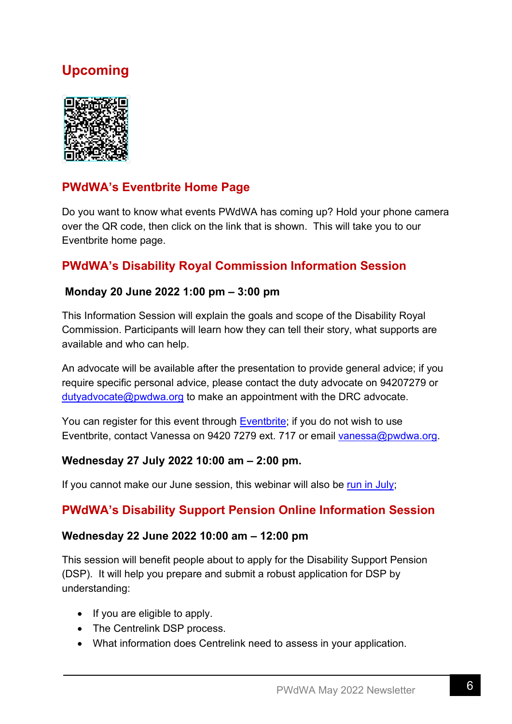# **Upcoming**



## **PWdWA's Eventbrite Home Page**

Do you want to know what events PWdWA has coming up? Hold your phone camera over the QR code, then click on the link that is shown. This will take you to our Eventbrite home page.

### **PWdWA's Disability Royal Commission Information Session**

#### **Monday 20 June 2022 1:00 pm – 3:00 pm**

This Information Session will explain the goals and scope of the Disability Royal Commission. Participants will learn how they can tell their story, what supports are available and who can help.

An advocate will be available after the presentation to provide general advice; if you require specific personal advice, please contact the duty advocate on 94207279 or [dutyadvocate@pwdwa.org](mailto:dutyadvocate@pwdwa.org) to make an appointment with the DRC advocate.

You can register for this event through [Eventbrite;](https://www.eventbrite.com.au/e/349301910417) if you do not wish to use Eventbrite, contact Vanessa on 9420 7279 ext. 717 or email [vanessa@pwdwa.org.](mailto:vanessa@pwdwa.org)

#### **Wednesday 27 July 2022 10:00 am – 2:00 pm.**

If you cannot make our June session, this webinar will also be [run in July;](https://www.eventbrite.com.au/e/disability-royal-commission-information-session-july-tickets-349324337497.)

#### **PWdWA's Disability Support Pension Online Information Session**

#### **Wednesday 22 June 2022 10:00 am – 12:00 pm**

This session will benefit people about to apply for the Disability Support Pension (DSP). It will help you prepare and submit a robust application for DSP by understanding:

- If you are eligible to apply.
- The Centrelink DSP process.
- What information does Centrelink need to assess in your application.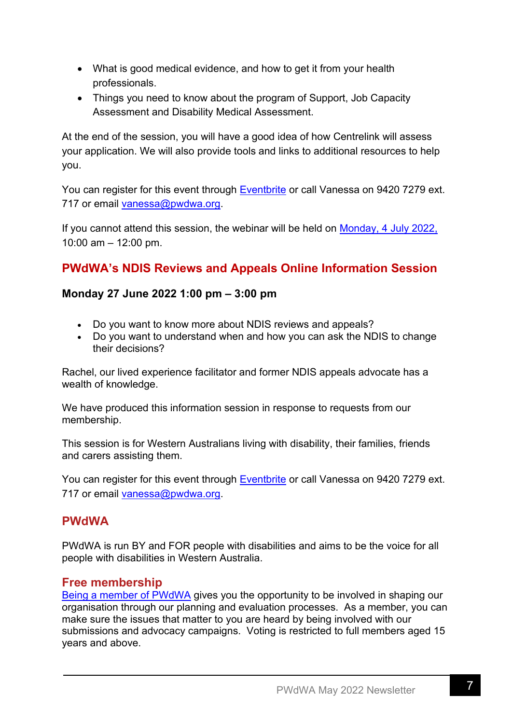- What is good medical evidence, and how to get it from your health professionals.
- Things you need to know about the program of Support, Job Capacity Assessment and Disability Medical Assessment.

At the end of the session, you will have a good idea of how Centrelink will assess your application. We will also provide tools and links to additional resources to help you.

You can register for this event through [Eventbrite](https://www.eventbrite.com.au/e/337846537087) or call Vanessa on 9420 7279 ext. 717 or email [vanessa@pwdwa.org.](mailto:vanessa@pwdwa.org)

If you cannot attend this session, the webinar will be held on Monday, [4 July 2022,](https://www.eventbrite.com.au/e/343813524507.) 10:00 am – 12:00 pm.

## **PWdWA's NDIS Reviews and Appeals Online Information Session**

#### **Monday 27 June 2022 1:00 pm – 3:00 pm**

- Do you want to know more about NDIS reviews and appeals?
- Do you want to understand when and how you can ask the NDIS to change their decisions?

Rachel, our lived experience facilitator and former NDIS appeals advocate has a wealth of knowledge.

We have produced this information session in response to requests from our membership.

This session is for Western Australians living with disability, their families, friends and carers assisting them.

You can register for this event through [Eventbrite](https://www.eventbrite.com.au/e/337633650337) or call Vanessa on 9420 7279 ext. 717 or email [vanessa@pwdwa.org.](mailto:vanessa@pwdwa.org)

### **PWdWA**

PWdWA is run BY and FOR people with disabilities and aims to be the voice for all people with disabilities in Western Australia.

### **Free membership**

[Being a member of PWdWA](http://%C2%A0https:/www.pwdwa.org/get_involved/become_a_member.html) gives you the opportunity to be involved in shaping our organisation through our planning and evaluation processes. As a member, you can make sure the issues that matter to you are heard by being involved with our submissions and advocacy campaigns. Voting is restricted to full members aged 15 years and above.